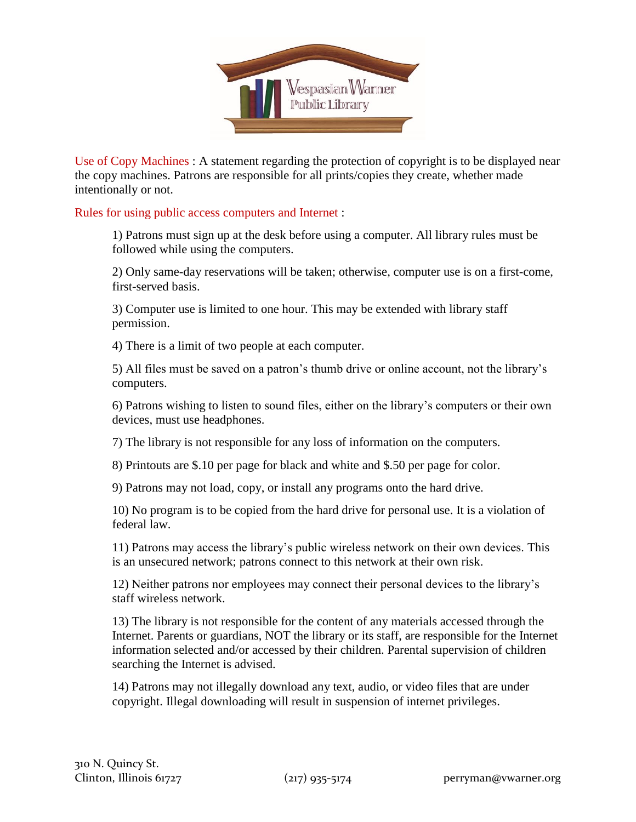

Use of Copy Machines : A statement regarding the protection of copyright is to be displayed near the copy machines. Patrons are responsible for all prints/copies they create, whether made intentionally or not.

Rules for using public access computers and Internet :

1) Patrons must sign up at the desk before using a computer. All library rules must be followed while using the computers.

2) Only same-day reservations will be taken; otherwise, computer use is on a first-come, first-served basis.

3) Computer use is limited to one hour. This may be extended with library staff permission.

4) There is a limit of two people at each computer.

5) All files must be saved on a patron's thumb drive or online account, not the library's computers.

6) Patrons wishing to listen to sound files, either on the library's computers or their own devices, must use headphones.

7) The library is not responsible for any loss of information on the computers.

8) Printouts are \$.10 per page for black and white and \$.50 per page for color.

9) Patrons may not load, copy, or install any programs onto the hard drive.

10) No program is to be copied from the hard drive for personal use. It is a violation of federal law.

11) Patrons may access the library's public wireless network on their own devices. This is an unsecured network; patrons connect to this network at their own risk.

12) Neither patrons nor employees may connect their personal devices to the library's staff wireless network.

13) The library is not responsible for the content of any materials accessed through the Internet. Parents or guardians, NOT the library or its staff, are responsible for the Internet information selected and/or accessed by their children. Parental supervision of children searching the Internet is advised.

14) Patrons may not illegally download any text, audio, or video files that are under copyright. Illegal downloading will result in suspension of internet privileges.